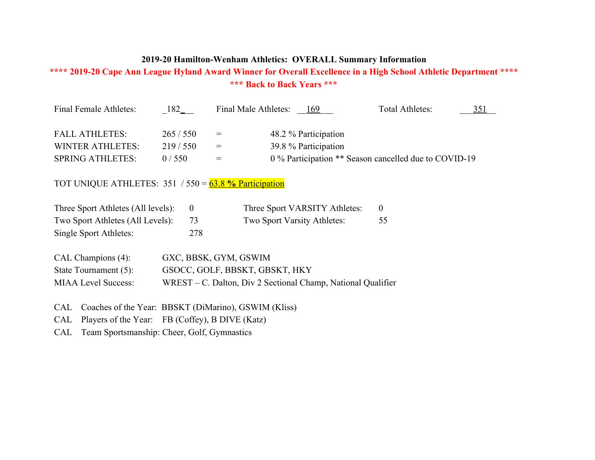## **2019-20 Hamilton-Wenham Athletics: OVERALL Summary Information**

## **\*\*\*\* 2019-20 Cape Ann League Hyland Award Winner for Overall Excellence in a High School Athletic Department \*\*\*\* \*\*\* Back to Back Years \*\*\***

| Final Female Athletes:                                  | 182     |     | Final Male Athletes: 169                              | Total Athletes: | 351 |
|---------------------------------------------------------|---------|-----|-------------------------------------------------------|-----------------|-----|
| <b>FALL ATHLETES:</b>                                   | 265/550 | $=$ | 48.2 % Participation                                  |                 |     |
| <b>WINTER ATHLETES:</b>                                 | 219/550 | $=$ | 39.8 % Participation                                  |                 |     |
| <b>SPRING ATHLETES:</b>                                 | 0/550   | $=$ | 0 % Participation ** Season cancelled due to COVID-19 |                 |     |
| TOT UNIQUE ATHLETES: $351 / 550 = 63.8$ % Participation |         |     |                                                       |                 |     |

| Three Sport Athletes (All levels): |     | Three Sport VARSITY Athletes: |    |
|------------------------------------|-----|-------------------------------|----|
| Two Sport Athletes (All Levels):   |     | Two Sport Varsity Athletes:   | 55 |
| Single Sport Athletes:             | 278 |                               |    |

| $CAL$ Champions $(4)$ :    | GXC, BBSK, GYM, GSWIM                                           |
|----------------------------|-----------------------------------------------------------------|
| State Tournament $(5)$ :   | GSOCC, GOLF, BBSKT, GBSKT, HKY                                  |
| <b>MIAA Level Success:</b> | $WREST - C$ . Dalton, Div 2 Sectional Champ, National Qualifier |

CAL Coaches of the Year: BBSKT (DiMarino), GSWIM (Kliss)

CAL Players of the Year: FB (Coffey), B DIVE (Katz)

CAL Team Sportsmanship: Cheer, Golf, Gymnastics